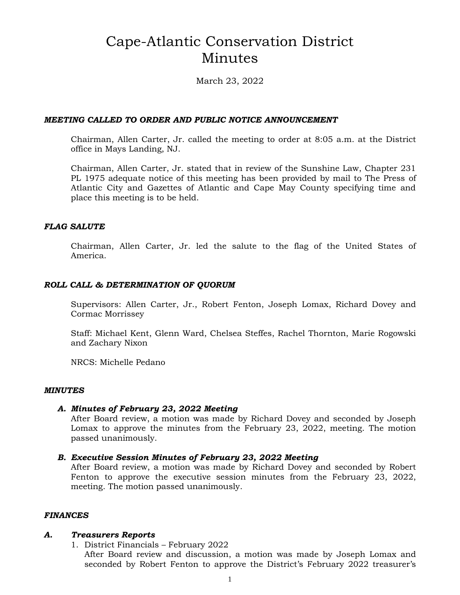# Cape-Atlantic Conservation District Minutes

March 23, 2022

## *MEETING CALLED TO ORDER AND PUBLIC NOTICE ANNOUNCEMENT*

Chairman, Allen Carter, Jr. called the meeting to order at 8:05 a.m. at the District office in Mays Landing, NJ.

Chairman, Allen Carter, Jr. stated that in review of the Sunshine Law, Chapter 231 PL 1975 adequate notice of this meeting has been provided by mail to The Press of Atlantic City and Gazettes of Atlantic and Cape May County specifying time and place this meeting is to be held.

#### *FLAG SALUTE*

Chairman, Allen Carter, Jr. led the salute to the flag of the United States of America.

## *ROLL CALL & DETERMINATION OF QUORUM*

Supervisors: Allen Carter, Jr., Robert Fenton, Joseph Lomax, Richard Dovey and Cormac Morrissey

Staff: Michael Kent, Glenn Ward, Chelsea Steffes, Rachel Thornton, Marie Rogowski and Zachary Nixon

NRCS: Michelle Pedano

#### *MINUTES*

#### *A. Minutes of February 23, 2022 Meeting*

After Board review, a motion was made by Richard Dovey and seconded by Joseph Lomax to approve the minutes from the February 23, 2022, meeting. The motion passed unanimously.

#### *B. Executive Session Minutes of February 23, 2022 Meeting*

After Board review, a motion was made by Richard Dovey and seconded by Robert Fenton to approve the executive session minutes from the February 23, 2022, meeting. The motion passed unanimously.

#### *FINANCES*

#### *A. Treasurers Reports*

1. District Financials – February 2022 After Board review and discussion, a motion was made by Joseph Lomax and seconded by Robert Fenton to approve the District's February 2022 treasurer's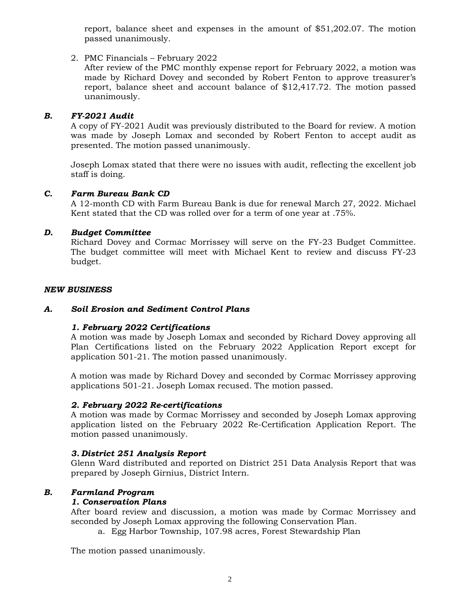report, balance sheet and expenses in the amount of \$51,202.07. The motion passed unanimously.

## 2. PMC Financials – February 2022

After review of the PMC monthly expense report for February 2022, a motion was made by Richard Dovey and seconded by Robert Fenton to approve treasurer's report, balance sheet and account balance of \$12,417.72. The motion passed unanimously.

# *B. FY-2021 Audit*

A copy of FY-2021 Audit was previously distributed to the Board for review. A motion was made by Joseph Lomax and seconded by Robert Fenton to accept audit as presented. The motion passed unanimously.

Joseph Lomax stated that there were no issues with audit, reflecting the excellent job staff is doing.

## *C. Farm Bureau Bank CD*

A 12-month CD with Farm Bureau Bank is due for renewal March 27, 2022. Michael Kent stated that the CD was rolled over for a term of one year at .75%.

## *D. Budget Committee*

Richard Dovey and Cormac Morrissey will serve on the FY-23 Budget Committee. The budget committee will meet with Michael Kent to review and discuss FY-23 budget.

#### *NEW BUSINESS*

## *A. Soil Erosion and Sediment Control Plans*

## *1. February 2022 Certifications*

A motion was made by Joseph Lomax and seconded by Richard Dovey approving all Plan Certifications listed on the February 2022 Application Report except for application 501-21. The motion passed unanimously.

A motion was made by Richard Dovey and seconded by Cormac Morrissey approving applications 501-21. Joseph Lomax recused. The motion passed.

## *2. February 2022 Re-certifications*

A motion was made by Cormac Morrissey and seconded by Joseph Lomax approving application listed on the February 2022 Re-Certification Application Report. The motion passed unanimously.

#### *3. District 251 Analysis Report*

Glenn Ward distributed and reported on District 251 Data Analysis Report that was prepared by Joseph Girnius, District Intern.

#### *B. Farmland Program*

#### *1. Conservation Plans*

After board review and discussion, a motion was made by Cormac Morrissey and seconded by Joseph Lomax approving the following Conservation Plan.

a. Egg Harbor Township, 107.98 acres, Forest Stewardship Plan

The motion passed unanimously.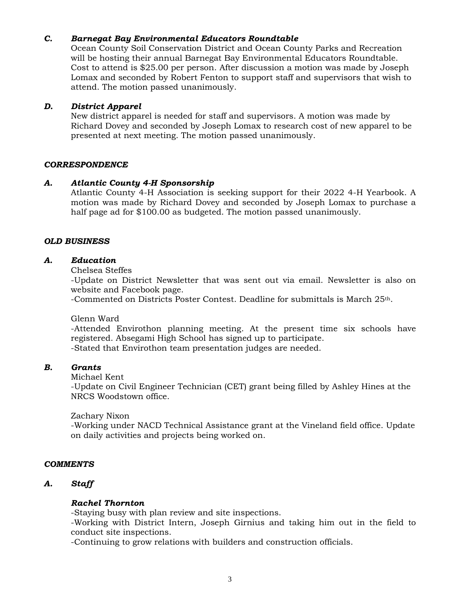## *C. Barnegat Bay Environmental Educators Roundtable*

Ocean County Soil Conservation District and Ocean County Parks and Recreation will be hosting their annual Barnegat Bay Environmental Educators Roundtable. Cost to attend is \$25.00 per person. After discussion a motion was made by Joseph Lomax and seconded by Robert Fenton to support staff and supervisors that wish to attend. The motion passed unanimously.

## *D. District Apparel*

New district apparel is needed for staff and supervisors. A motion was made by Richard Dovey and seconded by Joseph Lomax to research cost of new apparel to be presented at next meeting. The motion passed unanimously.

#### *CORRESPONDENCE*

## *A. Atlantic County 4-H Sponsorship*

Atlantic County 4-H Association is seeking support for their 2022 4-H Yearbook. A motion was made by Richard Dovey and seconded by Joseph Lomax to purchase a half page ad for \$100.00 as budgeted. The motion passed unanimously.

## *OLD BUSINESS*

## *A. Education*

#### Chelsea Steffes

-Update on District Newsletter that was sent out via email. Newsletter is also on website and Facebook page.

-Commented on Districts Poster Contest. Deadline for submittals is March 25th.

Glenn Ward

-Attended Envirothon planning meeting. At the present time six schools have registered. Absegami High School has signed up to participate. -Stated that Envirothon team presentation judges are needed.

#### *B. Grants*

#### Michael Kent

-Update on Civil Engineer Technician (CET) grant being filled by Ashley Hines at the NRCS Woodstown office.

#### Zachary Nixon

-Working under NACD Technical Assistance grant at the Vineland field office. Update on daily activities and projects being worked on.

#### *COMMENTS*

## *A. Staff*

#### *Rachel Thornton*

-Staying busy with plan review and site inspections.

-Working with District Intern, Joseph Girnius and taking him out in the field to conduct site inspections.

-Continuing to grow relations with builders and construction officials.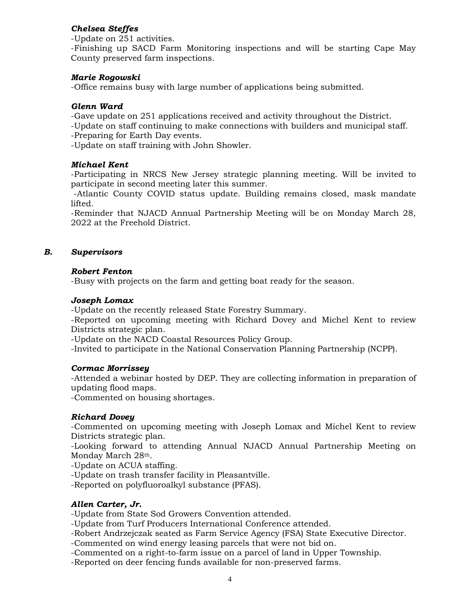# *Chelsea Steffes*

-Update on 251 activities.

-Finishing up SACD Farm Monitoring inspections and will be starting Cape May County preserved farm inspections.

## *Marie Rogowski*

-Office remains busy with large number of applications being submitted.

## *Glenn Ward*

-Gave update on 251 applications received and activity throughout the District.

-Update on staff continuing to make connections with builders and municipal staff.

-Preparing for Earth Day events.

-Update on staff training with John Showler.

## *Michael Kent*

-Participating in NRCS New Jersey strategic planning meeting. Will be invited to participate in second meeting later this summer.

-Atlantic County COVID status update. Building remains closed, mask mandate lifted.

-Reminder that NJACD Annual Partnership Meeting will be on Monday March 28, 2022 at the Freehold District.

## *B. Supervisors*

## *Robert Fenton*

-Busy with projects on the farm and getting boat ready for the season.

## *Joseph Lomax*

-Update on the recently released State Forestry Summary.

-Reported on upcoming meeting with Richard Dovey and Michel Kent to review Districts strategic plan.

-Update on the NACD Coastal Resources Policy Group.

-Invited to participate in the National Conservation Planning Partnership (NCPP).

#### *Cormac Morrissey*

-Attended a webinar hosted by DEP. They are collecting information in preparation of updating flood maps.

-Commented on housing shortages.

## *Richard Dovey*

-Commented on upcoming meeting with Joseph Lomax and Michel Kent to review Districts strategic plan.

-Looking forward to attending Annual NJACD Annual Partnership Meeting on Monday March 28th.

-Update on ACUA staffing.

-Update on trash transfer facility in Pleasantville.

-Reported on polyfluoroalkyl substance (PFAS).

## *Allen Carter, Jr.*

-Update from State Sod Growers Convention attended.

-Update from Turf Producers International Conference attended.

-Robert Andrzejczak seated as Farm Service Agency (FSA) State Executive Director.

-Commented on wind energy leasing parcels that were not bid on.

-Commented on a right-to-farm issue on a parcel of land in Upper Township.

-Reported on deer fencing funds available for non-preserved farms.